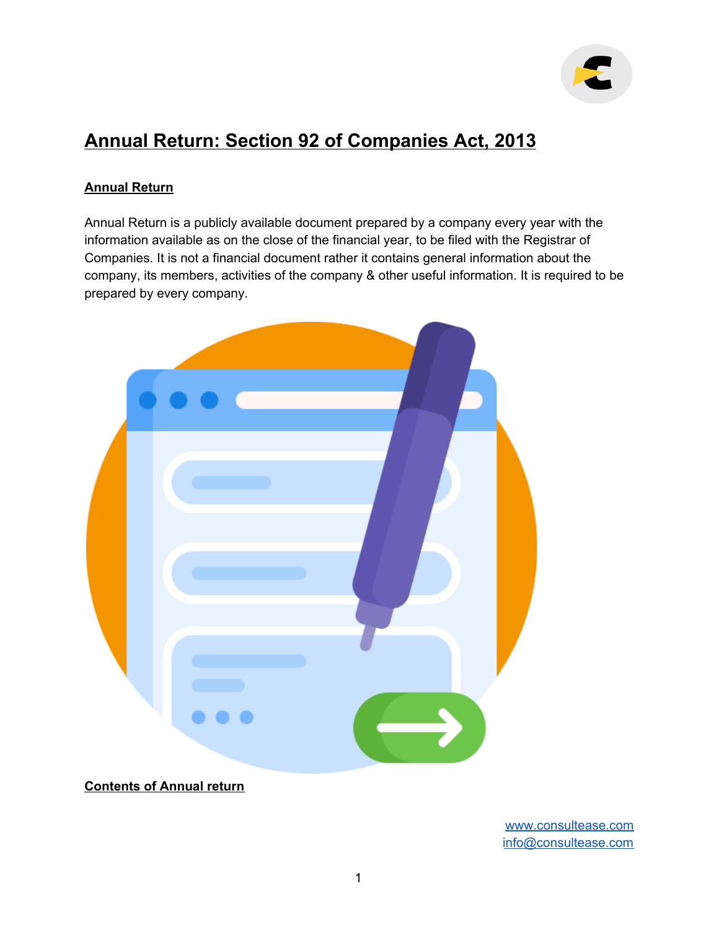

# **Annual Return: Section 92 of Companies Act, 2013**

### **Annual Return**

Annual Return is a publicly available document prepared by a company every year with the information available as on the close of the financial year, to be filed with the Registrar of Companies. It is not a financial document rather it contains general information about the company, its members, activities of the company & other useful information. It is required to be prepared by every company.



**Contents of Annual return**

[www.consultease.com](http://www.consultease.com/) [info@consultease.com](mailto:info@consultease.com)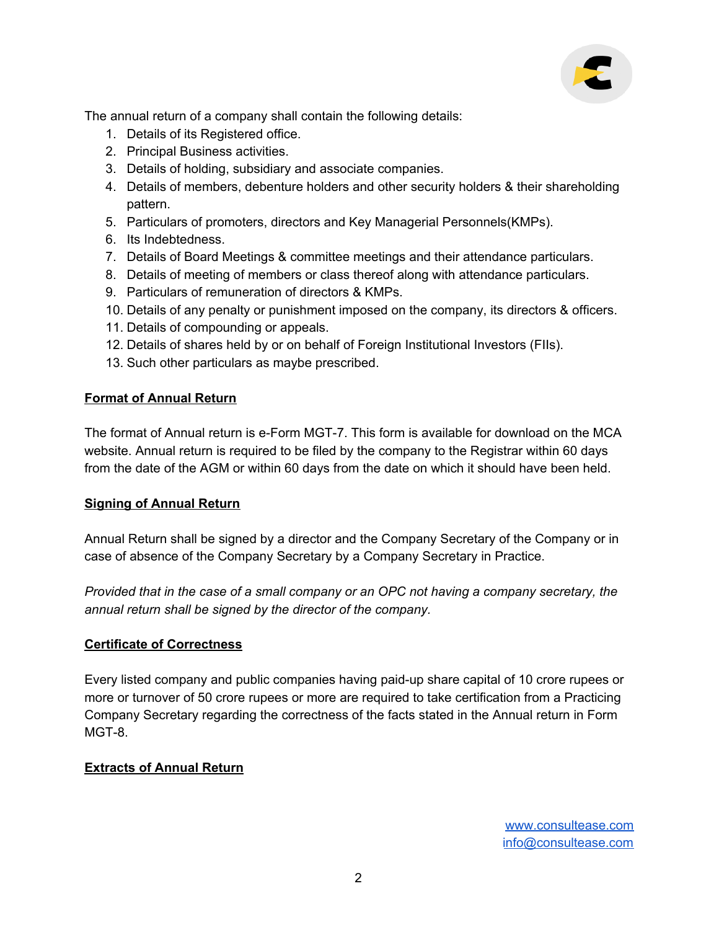

The annual return of a company shall contain the following details:

- 1. Details of its Registered office.
- 2. Principal Business activities.
- 3. Details of holding, subsidiary and associate companies.
- 4. Details of members, debenture holders and other security holders & their shareholding pattern.
- 5. Particulars of promoters, directors and Key Managerial Personnels(KMPs).
- 6. Its Indebtedness.
- 7. Details of Board Meetings & committee meetings and their attendance particulars.
- 8. Details of meeting of members or class thereof along with attendance particulars.
- 9. Particulars of remuneration of directors & KMPs.
- 10. Details of any penalty or punishment imposed on the company, its directors & officers.
- 11. Details of compounding or appeals.
- 12. Details of shares held by or on behalf of Foreign Institutional Investors (FIIs).
- 13. Such other particulars as maybe prescribed.

### **Format of Annual Return**

The format of Annual return is e-Form MGT-7. This form is available for download on the MCA website. Annual return is required to be filed by the company to the Registrar within 60 days from the date of the AGM or within 60 days from the date on which it should have been held.

### **Signing of Annual Return**

Annual Return shall be signed by a director and the Company Secretary of the Company or in case of absence of the Company Secretary by a Company Secretary in Practice.

*Provided that in the case of a small company or an OPC not having a company secretary, the annual return shall be signed by the director of the company.*

### **Certificate of Correctness**

Every listed company and public companies having paid-up share capital of 10 crore rupees or more or turnover of 50 crore rupees or more are required to take certification from a Practicing Company Secretary regarding the correctness of the facts stated in the Annual return in Form MGT-8.

## **Extracts of Annual Return**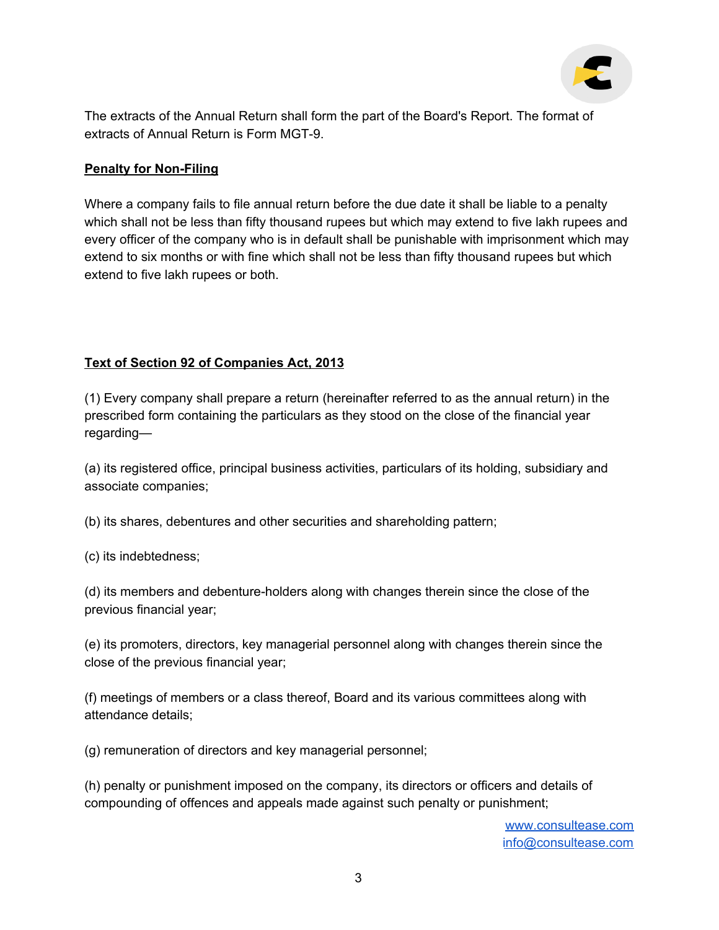

The extracts of the Annual Return shall form the part of the Board's Report. The format of extracts of Annual Return is Form MGT-9.

#### **Penalty for Non-Filing**

Where a company fails to file annual return before the due date it shall be liable to a penalty which shall not be less than fifty thousand rupees but which may extend to five lakh rupees and every officer of the company who is in default shall be punishable with imprisonment which may extend to six months or with fine which shall not be less than fifty thousand rupees but which extend to five lakh rupees or both.

### **Text of Section 92 of Companies Act, 2013**

(1) Every company shall prepare a return (hereinafter referred to as the annual return) in the prescribed form containing the particulars as they stood on the close of the financial year regarding—

(a) its registered office, principal business activities, particulars of its holding, subsidiary and associate companies;

(b) its shares, debentures and other securities and shareholding pattern;

(c) its indebtedness;

(d) its members and debenture-holders along with changes therein since the close of the previous financial year;

(e) its promoters, directors, key managerial personnel along with changes therein since the close of the previous financial year;

(f) meetings of members or a class thereof, Board and its various committees along with attendance details;

(g) remuneration of directors and key managerial personnel;

(h) penalty or punishment imposed on the company, its directors or officers and details of compounding of offences and appeals made against such penalty or punishment;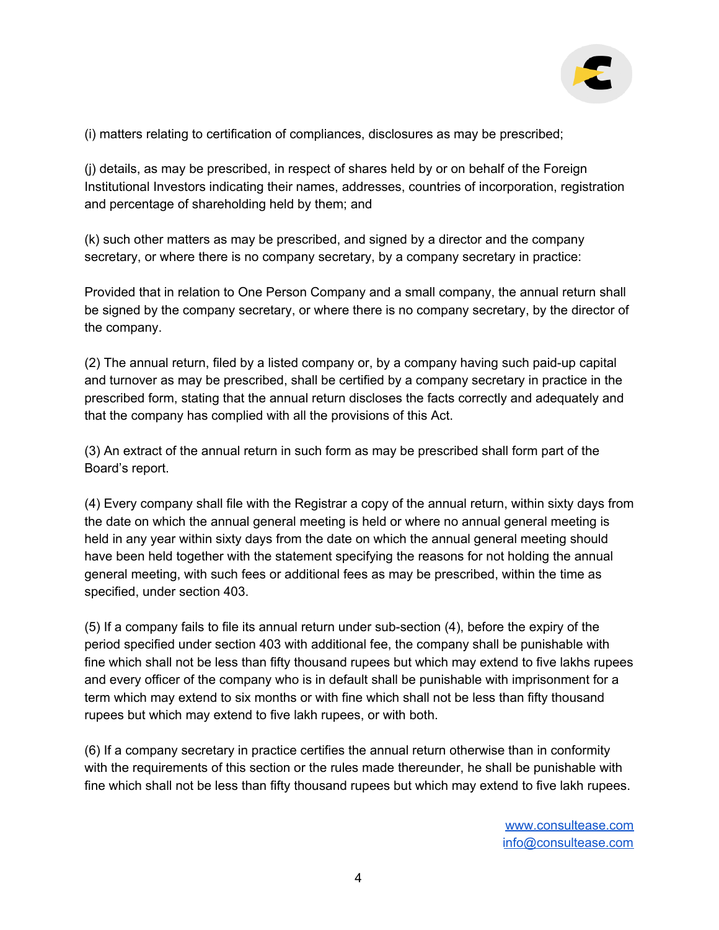

(i) matters relating to certification of compliances, disclosures as may be prescribed;

(j) details, as may be prescribed, in respect of shares held by or on behalf of the Foreign Institutional Investors indicating their names, addresses, countries of incorporation, registration and percentage of shareholding held by them; and

(k) such other matters as may be prescribed, and signed by a director and the company secretary, or where there is no company secretary, by a company secretary in practice:

Provided that in relation to One Person Company and a small company, the annual return shall be signed by the company secretary, or where there is no company secretary, by the director of the company.

(2) The annual return, filed by a listed company or, by a company having such paid-up capital and turnover as may be prescribed, shall be certified by a company secretary in practice in the prescribed form, stating that the annual return discloses the facts correctly and adequately and that the company has complied with all the provisions of this Act.

(3) An extract of the annual return in such form as may be prescribed shall form part of the Board's report.

(4) Every company shall file with the Registrar a copy of the annual return, within sixty days from the date on which the annual general meeting is held or where no annual general meeting is held in any year within sixty days from the date on which the annual general meeting should have been held together with the statement specifying the reasons for not holding the annual general meeting, with such fees or additional fees as may be prescribed, within the time as specified, under section 403.

(5) If a company fails to file its annual return under sub-section (4), before the expiry of the period specified under section 403 with additional fee, the company shall be punishable with fine which shall not be less than fifty thousand rupees but which may extend to five lakhs rupees and every officer of the company who is in default shall be punishable with imprisonment for a term which may extend to six months or with fine which shall not be less than fifty thousand rupees but which may extend to five lakh rupees, or with both.

(6) If a company secretary in practice certifies the annual return otherwise than in conformity with the requirements of this section or the rules made thereunder, he shall be punishable with fine which shall not be less than fifty thousand rupees but which may extend to five lakh rupees.